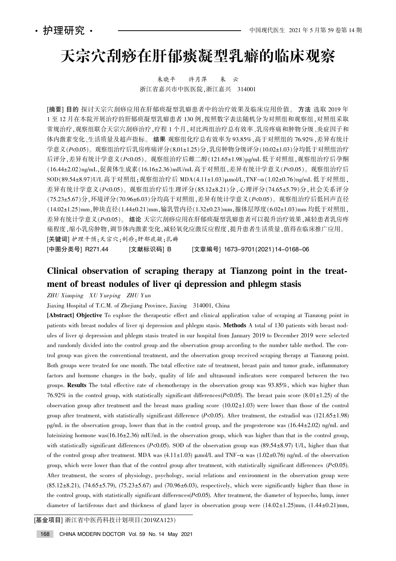# 天宗穴刮痧在肝郁痰凝型乳癖的临床观察

朱晓平 许月萍 朱 云 浙江省嘉兴市中医医院,浙江嘉兴 314001

[摘要] 目的 探讨天宗穴刮痧应用在肝郁痰凝型乳癖患者中的治疗效果及临床应用价值。方法 选取 2019 年 1 至 12 月在本院开展治疗的肝郁痰凝型乳癖患者 130 例,按照数字表法随机分为对照组和观察组,对照组采取 常规治疗,观察组联合天宗穴刮痧治疗,疗程 1 个月,对比两组治疗总有效率、乳房疼痛和肿物分级、炎症因子和 体内激素变化、生活质量及超声指标。结果 观察组化疗总有效率为 93.85%,高于对照组的 76.92%,差异有统计 学意义(P<0.05)。观察组治疗后乳房疼痛评分(8.01±1.25)分,乳房肿物分级评分(10.02±1.03)分均低于对照组治疗 后评分,差异有统计学意义(P<0.05)。观察组治疗后雌二醇(121.65±1.98)pg/mL 低于对照组,观察组治疗后孕酮 (16.44±2.02)ng/mL,促黄体生成素(16.16±2.36)mIU/mL 高于对照组,差异有统计学意义(P<0.05)。观察组治疗后 SOD(89.54±8.97)U/L 高于对照组:观察组治疗后 MDA(4.11±1.03)umol/L.TNF- $\alpha$ (1.02±0.76)ng/mL 低于对照组. 差异有统计学意义(P<0.05)。观察组治疗后生理评分(85.12±8.21)分,心理评分(74.65±5.79)分,社会关系评分 (75.23±5.67)分,环境评分(70.96±6.03)分均高于对照组,差异有统计学意义(P<0.05)。观察组治疗后低回声直径  $(14.02 \pm 1.25)$ mm.肿块直径 $(1.44 \pm 0.21)$ mm,输乳管内径 $(1.32 \pm 0.23)$ mm,腺体层厚度 $(6.02 \pm 1.03)$ mm 均低于对照组. 差异有统计学意义(P<0.05)。 结论 天宗穴刮痧应用在肝郁痰凝型乳癖患者可以提升治疗效果,减轻患者乳房疼 痛程度,缩小乳房肿物,调节体内激素变化,减轻氧化应激反应程度,提升患者生活质量,值得在临床推广应用。 [关键词] 护理干预:天宗穴:刮痧:肝郁痰凝:乳癖

[中图分类号] R271.44 [文献标识码] B [文章编号] 1673–9701(2021)14–0168–06

## Clinical observation of scraping therapy at Tianzong point in the treatment of breast nodules of liver qi depression and phlegm stasis

ZHU Xiaoping XU Yueping ZHU Yun

Jiaxing Hospital of T.C.M. of Zhejiang Province, Jiaxing 314001, China

[Abstract] Objective To explore the therapeutic effect and clinical application value of scraping at Tianzong point in patients with breast nodules of liver qi depression and phlegm stasis. Methods A total of 130 patients with breast nodules of liver qi depression and phlegm stasis treated in our hospital from January 2019 to December 2019 were selected and randomly divided into the control group and the observation group according to the number table method. The control group was given the conventional treatment, and the observation group received scraping therapy at Tianzong point. Both groups were treated for one month. The total effective rate of treatment, breast pain and tumor grade, inflammatory factors and hormone changes in the body, quality of life and ultrasound indicators were compared between the two groups. Results The total effective rate of chemotherapy in the observation group was 93.85%, which was higher than 76.92% in the control group, with statistically significant differences( $P<0.05$ ). The breast pain score (8.01 $\pm$ 1.25) of the observation group after treatment and the breast mass grading score  $(10.02 \pm 1.03)$  were lower than those of the control group after treatment, with statistically significant difference  $(P<0.05)$ . After treatment, the estradiol was  $(121.65 \pm 1.98)$ pg/mL in the observation group, lower than that in the control group, and the progesterone was  $(16.44 \pm 2.02)$  ng/mL and luteinizing hormone was( $16.16 \pm 2.36$ ) mIU/mL in the observation group, which was higher than that in the control group, with statistically significant differences (P<0.05). SOD of the observation group was (89.54±8.97) U/L, higher than that of the control group after treatment. MDA was  $(4.11\pm1.03)$   $\mu$ mol/L and TNF- $\alpha$  was  $(1.02\pm0.76)$  ng/mL of the observation group, which were lower than that of the control group after treatment, with statistically significant differences (P<0.05). After treatment, the scores of physiology, psychology, social relations and environment in the observation group were  $(85.12 \pm 8.21)$ ,  $(74.65 \pm 5.79)$ ,  $(75.23 \pm 5.67)$  and  $(70.96 \pm 6.03)$ , respectively, which were significantly higher than those in the control group, with statistically significant differences $(P<0.05)$ . After treatment, the diameter of hypoecho, lump, inner diameter of lactiferous duct and thickness of gland layer in observation group were  $(14.02 \pm 1.25)$ mm,  $(1.44 \pm 0.21)$ mm,

[基金项目] 浙江省中医药科技计划项目(2019ZA123)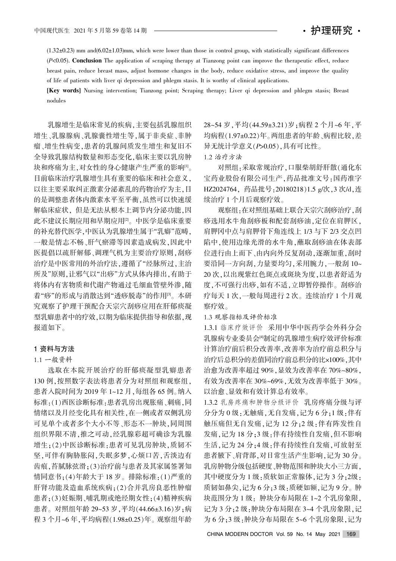$(1.32\pm0.23)$  mm and $(6.02\pm1.03)$ mm, which were lower than those in control group, with statistically significant differences  $(P<0.05)$ . Conclusion The application of scraping therapy at Tianzong point can improve the therapeutic effect, reduce breast pain, reduce breast mass, adjust hormone changes in the body, reduce oxidative stress, and improve the quality of life of patients with liver qi depression and phlegm stasis. It is worthy of clinical applications.

[Key words] Nursing intervention; Tianzong point; Scraping therapy; Liver qi depression and phlegm stasis; Breast nodules

乳腺增生是临床常见的疾病,主要包括乳腺组织 增生、乳腺腺病、乳腺囊性增生等,属于非炎症、非肿 瘤、增生性病变,患者的乳腺间质发生增生和复旧不 全导致乳腺结构数量和形态变化,临床主要以乳房肿 块和疼痛为主,对女性的身心健康产生严重的影响[1]。 目前临床治疗乳腺增生具有重要的临床和社会意义, 以往主要采取纠正激素分泌紊乱的药物治疗为主,目 的是调整患者体内激素水平至平衡,虽然可以快速缓 解临床症状, 但是无法从根本上调节内分泌功能, 因 此不建议长期应用和早期应用<sup>[2]</sup>。中医学是临床重要 的补充替代医学,中医认为乳腺增生属于"乳癖"范畴, 一般是情志不畅、肝气瘀滞等因素造成病发,因此中 医提倡以疏肝解郁、调理气机为主要治疗原则,刮痧 治疗是中医常用的外治疗法,遵循了"经脉所过,主治 所及"原则,让邪气以"出痧"方式从体内排出,有助于 将体内有害物质和代谢产物通过毛细血管壁外渗,随 着"痧"的形成与消散达到"透痧脱毒"的作用[3]。本研 究观察了护理干预配合天宗穴刮痧应用在肝郁痰凝 型乳癖患者中的疗效,以期为临床提供指导和依据,现 报道如下。

#### 1 资料与方法

#### 1.1 一般资料

选取在本院开展治疗的肝郁痰凝型乳癖患者 130 例,按照数字表法将患者分为对照组和观察组, 患者入院时间为 2019年 1~12月,每组各 65 例。纳入 标准:(1)西医诊断标准:患者乳房出现胀痛、刺痛,同 情绪以及月经变化具有相关性,在一侧或者双侧乳房 可见单个或者多个大小不等、形态不一肿块,同周围 组织界限不清,推之可动,经乳腺彩超可确诊为乳腺 增生;(2)中医诊断标准:患者可见乳房肿块,质韧不 坚,可伴有胸胁胀闷,失眠多梦,心烦口苦,舌淡边有 齿痕,苔腻脉弦滑;(3)治疗前与患者及其家属签署知 情同意书;(4)年龄大于 18 岁。排除标准:(1)严重的 肝肾功能及造血系统疾病:(2)合并乳房良恶性肿瘤 患者;(3)妊娠期、哺乳期或绝经期女性;(4)精神疾病 患者。对照组年龄 29~53 岁, 平均(44.66±3.16) 岁; 病 程 3 个月~6年,平均病程(1.98±0.25)年。观察组年龄

28~54 岁, 平均(44.59±3.21) 岁; 病程 2 个月~6 年, 平 均病程(1.97±0.22)年。两组患者的年龄、病程比较,差 异无统计学意义(P>0.05),具有可比性。 1.2 治疗方法

对照组:采取常规治疗,口服柴胡舒肝散(通化东 宝药业股份有限公司生产,药品批准文号:国药准字 HZ2024764, 药品批号:20180218)1.5 g/次, 3 次/d, 连 续治疗 1 个月后观察疗效。

观察组:在对照组基础上联合天宗穴刮痧治疗,刮 痧选用水牛角刮痧板和配套刮痧油,定位在肩胛区, 肩胛冈中点与肩胛骨下角连线上 1/3 与下 2/3 交点凹 陷中,使用边缘光滑的水牛角,蘸取刮痧油在体表部 位进行由上而下、由内向外反复刮动,逐渐加重,刮时 要沿同一方向刮,力量要均匀,采用腕力,一般刮 10~ 20次,以出现紫红色斑点或斑块为度,以患者舒适为 度,不可强行出痧,如有不适,立即暂停操作。刮痧治 疗每天 1 次, 一般每周进行 2 次。连续治疗 1 个月观 察疗效。

### 1.3 观察指标及评价标准

1.3.1 临床疗效评价 采用中华中医药学会外科分会 乳腺病专业委员会[4]制定的乳腺增生病疗效评价标准 计算治疗前后积分改善率,改善率为治疗前总积分与 治疗后总积分的差值同治疗前总积分的比×100%,其中 治愈为改善率超过 90%, 显效为改善率在 70%~80%, 有效为改善率在 30%~69%, 无效为改善率低于 30%。 以治愈、显效和有效计算总有效率。

1.3.2 乳房疼痛和肿物分级评价 乳房疼痛分级与评 分分为 0 级: 无触痛, 无自发痛, 记为 6 分: 1 级: 伴有 触压痛但无自发痛,记为 12 分;2 级:伴有阵发性自 发痛,记为18分;3级:伴有持续性自发痛,但不影响 生活, 记为 24 分; 4 级: 伴有持续性自发痛, 可放射至 患者腋下、肩背部,对日常生活产生影响,记为 30 分。 乳房肿物分级包括硬度、肿物范围和肿块大小三方面, 其中硬度分为 1 级:质软如正常腺体,记为 3 分;2级: 质韧如鼻尖,记为6分;3级:质硬如额,记为9分。肿 块范围分为 1 级: 肿块分布局限在 1~2 个乳房象限, 记为 3 分: 2 级: 肿块分布局限在 3~4 个乳房象限, 记 为 6 分; 3 级: 肿块分布局限在 5~6 个乳房象限, 记为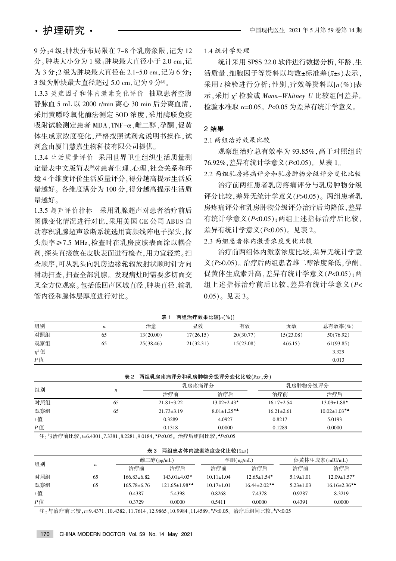9分:4级:肿块分布局限在 7~8 个乳房象限,记为 12 分。肿块大小分为 1 级:肿块最大直径小于 2.0 cm,记 为 3 分: 2 级为肿块最大直径在 2.1~5.0 cm, 记为 6 分; 3 级为肿块最大直径超过 5.0 cm, 记为 9 分[5]。

1.3.3 炎症因子和体内激素变化评价 抽取患者空腹 静脉血 5 mL 以 2000 r/min 离心 30 min 后分离血清, 采用黄嘌呤氧化酶法测定 SOD 浓度,采用酶联免疫 吸附试验测定患者 MDA、TNF-α、雌二醇、孕酮、促黄 体生成素浓度变化,严格按照试剂盒说明书操作,试 剂盒由厦门慧嘉生物科技有限公司提供。

1.3.4 生活质量评价 采用世界卫生组织生活质量测 定量表中文版简表<sup>[6]</sup>对患者生理、心理、社会关系和环 境 4 个维度评价生活质量评分, 得分越高提示生活质 量越好。各维度满分为 100 分,得分越高提示生活质 量越好。

1.3.5 超声评价指标 采用乳腺超声对患者治疗前后 图像变化情况进行对比,采用美国 GE 公司 ABUS 自 动容积乳腺超声诊断系统选用高频线阵电子探头,探 头频率≥7.5 MHz,检查时在乳房皮肤表面涂以耦合 剂,探头直接放在皮肤表面进行检查,用力宜轻柔。扫 查顺序,可从乳头向乳房边缘轮辐放射状顺时针方向 滑动扫查,扫查全部乳腺。发现病灶时需要多切面交 叉全方位观察。包括低回声区域直径、肿块直径、输乳 管内径和腺体层厚度进行对比。

1.4 统计学处理

统计采用 SPSS 22.0 软件进行数据分析,年龄、生 活质量、细胞因子等资料以均数±标准差(x±s)表示, 采用  $t$  检验进行分析: 性别、疗效等资料以 $[n(%)$ ]表 示,采用  $\chi^2$  检验或 Mann-Whitney U 比较组间差异。 检验水准取 α=0.05。 $P$ <0.05 为差异有统计学意义。

#### 2 结果

2.1 两组治疗效果比较

观察组治疗总有效率为 93.85%, 高于对照组的 76.92%, 差异有统计学意义 ( $P<0.05$ )。见表 1。

2.2 两组乳房疼痛评分和乳房肿物分级评分变化比较 治疗前两组患者乳房疼痛评分与乳房肿物分级

评分比较. 差异无统计学意义(P>0.05)。两组患者乳 房疼痛评分和乳房肿物分级评分治疗后均降低,差异 有统计学意义(P<0.05):两组上述指标治疗后比较, 差异有统计学意义 $(P< 0.05)$ 。见表 2。

2.3 两组患者体内激素浓度变化比较

治疗前两组体内激素浓度比较, 差异无统计学意 义(P>0.05)。治疗后两组患者雌二醇浓度降低,孕酮、 促黄体生成素升高, 差异有统计学意义(P<0.05): 两 组上述指标治疗前后比较, 差异有统计学意义(P<  $(0.05)$ 。见表 3。

|            |                  | 衣         | 网组宿疗效未比牧 ハ(%) |           |           |           |
|------------|------------------|-----------|---------------|-----------|-----------|-----------|
| 组别         | $\boldsymbol{n}$ | 治愈        | 显效            | 有效        | 无效        | 总有效率(%)   |
| 对照组        | 65               | 13(20.00) | 17(26.15)     | 20(30.77) | 15(23.08) | 50(76.92) |
| 观察组        | 65               | 25(38.46) | 21(32.31)     | 15(23.08) | 4(6.15)   | 61(93.85) |
| $\chi^2$ 值 |                  |           |               |           |           | 3.329     |
| $P$ 值      |                  |           |               |           |           | 0.013     |

 $\frac{1}{2}$   $\frac{1}{2}$  and  $\frac{1}{2}$  and  $\frac{1}{2}$  and  $\frac{1}{2}$  and  $\frac{1}{2}$  and  $\frac{1}{2}$  and  $\frac{1}{2}$  and  $\frac{1}{2}$  and  $\frac{1}{2}$  and  $\frac{1}{2}$  and  $\frac{1}{2}$  and  $\frac{1}{2}$  and  $\frac{1}{2}$  and  $\frac{1}{2}$  and  $\frac{1}{2}$  and

表 2 两组乳房疼痛评分和乳房肿物分级评分变化比较(x±s,分)

| 组别    | $\boldsymbol{n}$ |                  | 乳房疼痛评分                         | 乳房肿物分级评分         |                     |
|-------|------------------|------------------|--------------------------------|------------------|---------------------|
|       |                  | 治疗前              | 治疗后                            | 治疗前              | 治疗后                 |
| 对照组   | 65               | $21.81 \pm 3.22$ | $13.02 \pm 2.43*$              | $16.17 \pm 2.54$ | $13.09 \pm 1.88$ *  |
| 观察组   | 65               | $21.73 \pm 3.19$ | $8.01 \pm 1.25$ * <sup>4</sup> | $16.21 \pm 2.61$ | $10.02 \pm 1.03$ ** |
| $t$ 值 |                  | 0.3289           | 4.0927                         | 0.8217           | 5.0193              |
| $P$ 值 |                  | 0.1318           | 0.0000                         | 0.1289           | 0.0000              |

注:与治疗前比较.t=6.4301、7.3381、8.2281、9.0184、\*P<0.05。治疗后组间比较、\*P<0.05

| 表 3<br>两组患者体内激素浓度变化比较(x±s) |
|----------------------------|
|----------------------------|

| 组别    |                  |                   | 雌二醇 $(pg/mL)$        |                  | 孕酮(ng/mL)                      |                 | 促黄体生成素(mIU/mL)              |  |
|-------|------------------|-------------------|----------------------|------------------|--------------------------------|-----------------|-----------------------------|--|
|       | $\boldsymbol{n}$ | 治疗前               | 治疗后                  | 治疗前              | 治疗后                            | 治疗前             | 治疗后                         |  |
| 对照组   | 65               | $166.83\pm 6.82$  | $143.01 \pm 4.03$ *  | $10.11 \pm 1.04$ | $12.65 \pm 1.54$ *             | $5.19 \pm 1.01$ | $12.09 \pm 1.57$ *          |  |
| 观察组   | 65               | $165.78 \pm 6.76$ | $121.65 \pm 1.98$ ** | $10.17 \pm 1.01$ | $16.44 \pm 2.02$ <sup>**</sup> | $5.23 \pm 1.03$ | $16.16 \pm 2.36$ * <b>A</b> |  |
| $t$ 值 |                  | 0.4387            | 5.4398               | 0.8268           | 7.4378                         | 0.9287          | 8.3219                      |  |
| $P$ 值 |                  | 0.3729            | 0.0000               | 0.5411           | 0.0000                         | 0.4391          | 0.0000                      |  |

注:与治疗前比较,t=9.4371、10.4382、11.7614、12.9865、10.9984、11.4589、\*P<0.05。治疗后组间比较、\*P<0.05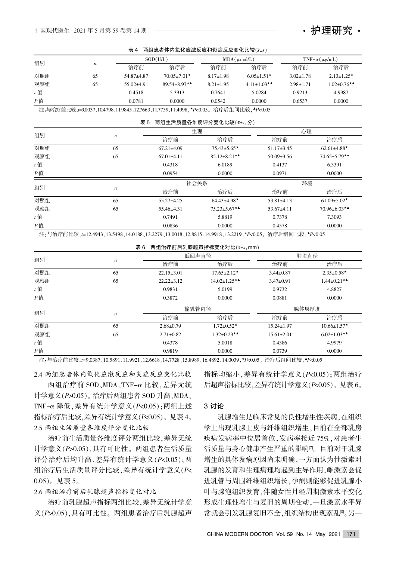表 4 两组患者体内氧化应激反应和炎症反应变化比较( $\bar{x}+s$ )

| 组别    |                  |              | SOD(U/L)                       |                 | $MDA(\mu \text{mol/L})$                      |                 | TNF $-\alpha(\mu g/mL)$ |  |
|-------|------------------|--------------|--------------------------------|-----------------|----------------------------------------------|-----------------|-------------------------|--|
|       | $\boldsymbol{n}$ | 治疗前          | 治疗后                            | 治疗前             | 治疗后                                          | 治疗前             | 治疗后                     |  |
| 对照组   | 65               | 54.87±4.87   | $70.05 \pm 7.01$ *             | $8.17 \pm 1.98$ | $6.05 \pm 1.51$ *                            | $3.02 \pm 1.78$ | $2.13 \pm 1.25$ *       |  |
| 观察组   | 65               | $55.02+4.91$ | $89.54 \pm 8.97$ <sup>**</sup> | $8.21 \pm 1.95$ | 4.11±1.03* <sup><math>\triangle</math></sup> | $2.98 \pm 1.71$ | $1.02 \pm 0.76$ **      |  |
| $t$ 值 |                  | 0.4518       | 5.3913                         | 0.7641          | 5.0284                                       | 0.9213          | 4.9987                  |  |
| $P$ 值 |                  | 0.0781       | 0.0000                         | 0.0542          | 0.0000                                       | 0.6537          | 0.0000                  |  |

注:与治疗前比较, t=9.0037、10.4798、11.9845、12.7663、11.7739、11.4998, \*P<0.05。治疗后组间比较, \*P<0.05

#### 表 5 两组生活质量各维度评分变化比较(x±s,分)

| 组别    | $\boldsymbol{n}$ |                  | 牛理                  |                  | 心理                  |  |
|-------|------------------|------------------|---------------------|------------------|---------------------|--|
|       |                  | 治疗前              | 治疗后                 | 治疗前              | 治疗后                 |  |
| 对照组   | 65               | $67.21 \pm 4.09$ | $75.43 \pm 5.65$ *  | $51.17 \pm 3.45$ | $62.61 \pm 4.88$ *  |  |
| 观察组   | 65               | $67.01 \pm 4.11$ | $85.12 \pm 8.21$ ** | $50.09 \pm 3.56$ | $74.65 \pm 5.79$ ** |  |
| $t$ 值 |                  | 0.4318           | 6.0189              | 0.4137           | 6.3391              |  |
| $P$ 值 |                  | 0.0954           | 0.0000              | 0.0971           | 0.0000              |  |
| 组别    | $\boldsymbol{n}$ | 社会关系             |                     |                  | 环境                  |  |
|       |                  | 治疗前              | 治疗后                 | 治疗前              | 治疗后                 |  |
| 对照组   | 65               | $55.27 \pm 4.25$ | $64.43{\pm}4.98*$   | $53.81 \pm 4.13$ | $61.09 \pm 5.02$ *  |  |
| 观察组   | 65               | 55.46±4.31       | $75.23 \pm 5.67$ ** | $53.67 \pm 4.11$ | 70.96 $\pm$ 6.03**  |  |
| $t$ 值 |                  | 0.7491           | 5.8819              | 0.7378           | 7.3093              |  |
| $P$ 值 |                  | 0.0836           | 0.0000              | 0.4578           | 0.0000              |  |

注:与治疗前比较,t=12.4943、13.5498、14.0188、13.2279、13.0018、12.8815、14.9918、13.2219、\*P<0.05。 治疗后组间比较, \*P<0.05

#### 表 6 两组治疗前后乳腺超声指标变化对比 $(x \pm s, \text{mm})$

| 组别    | $\boldsymbol{n}$ |                  | 低回声直径               | 肿块直径             |                    |  |
|-------|------------------|------------------|---------------------|------------------|--------------------|--|
|       |                  | 治疗前              | 治疗后                 | 治疗前              | 治疗后                |  |
| 对照组   | 65               | $22.15 \pm 3.01$ | $17.65 \pm 2.12$ *  | $3.44 \pm 0.87$  | $2.35 \pm 0.58$ *  |  |
| 观察组   | 65               | $22.22 + 3.12$   | $14.02 \pm 1.25$ ** | $3.47 \pm 0.91$  | $1.44 \pm 0.21$ ** |  |
| $t$ 值 |                  | 0.9831           | 5.0199              | 0.9732           | 4.8827             |  |
| $P$ 值 |                  | 0.3872           | 0.0000              | 0.0881           | 0.0000             |  |
|       | $\boldsymbol{n}$ | 输乳管内径            |                     |                  | 腺体层厚度              |  |
| 组别    |                  | 治疗前              | 治疗后                 | 治疗前              | 治疗后                |  |
| 对照组   | 65               | $2.68 \pm 0.79$  | $1.72 \pm 0.52$ *   | $15.24 \pm 1.97$ | $10.66 \pm 1.57$ * |  |
| 观察组   | 65               | $2.71 \pm 0.82$  | $1.32 \pm 0.23$ **  | $15.61 \pm 2.01$ | $6.02 \pm 1.03$ ** |  |
| $t$ 值 |                  | 0.4378           | 5.0018              | 0.4386           | 4.9979             |  |
| $P$ 值 |                  | 0.9819           | 0.0000              | 0.0739           | 0.0000             |  |

注:与治疗前比较,t=9.0387、10.5891、11.9921、12.6618、14.7728、15.8989、16.4892、14.0039,\*P<0.05。治疗后组间比较,\*P<0.05

2.4 两组患者体内氧化应激反应和炎症反应变化比较

两组治疗前 SOD、MDA、TNF-α 比较,差异无统 计学意义(P>0.05)。治疗后两组患者 SOD 升高, MDA、 TNF- $\alpha$  降低, 差异有统计学意义 $(P< 0.05)$ ; 两组上述 指标治疗后比较,差异有统计学意义( $P<sub>0.05</sub>$ )。见表 4。 2.5 两组生活质量各维度评分变化比较

治疗前生活质量各维度评分两组比较, 差异无统 计学意义(P>0.05),具有可比性。两组患者生活质量 评分治疗后均升高,差异有统计学意义(P<0.05);两 组治疗后生活质量评分比较, 差异有统计学意义(P<  $(0.05)$ 。见表 5。

2.6 两组治疗前后乳腺超声指标变化对比

治疗前乳腺超声指标两组比较, 差异无统计学意 义(P>0.05),具有可比性。两组患者治疗后乳腺超声 指标均缩小, 差异有统计学意义(P<0.05); 两组治疗 后超声指标比较, 差异有统计学意义( $P<sub>0.05</sub>$ )。见表 6。

・护理研究・

#### 3 讨论

乳腺增生是临床常见的良性增生性疾病,在组织 学上出现乳腺上皮与纤维组织增生,目前在全部乳房 疾病发病率中位居首位,发病率接近 75%,对患者生 活质量与身心健康产生严重的影响[7]。目前对于乳腺 增生的具体发病原因尚未明确,一方面认为性激素对 乳腺的发育和生理病理均起到主导作用,雌激素会促 进乳管与周围纤维组织增长,孕酮则能够促进乳腺小 叶与腺泡组织发育,伴随女性月经周期激素水平变化 形成生理性增生与复旧的周期变动, 一旦激素水平异 常就会引发乳腺复旧不全,组织结构出现紊乱[8]。另一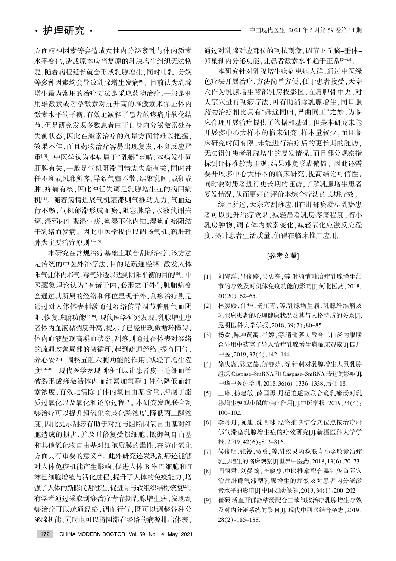方面精神因素等会造成女性内分泌紊乱与体内激素 水平变化,造成原本应当复原的乳腺增生组织无法恢 复. 随着病程延长就会形成乳腺增生, 同时哺乳、分娩 等多种因素均会导致乳腺增生发病[9]。目前认为乳腺 增生最为常用的治疗方法是采取药物治疗。一般是利 用雄激素或者孕激素对抗升高的雌激素来保证体内 激素水平的平衡,有效地减轻了患者的疼痛并软化结 节,但是研究发现多数患者由于自身内分泌激素处在 失衡状态,因此在激素治疗的剂量方面常难以把握, 效果不佳,而且药物治疗容易出现复发,不良反应严 重<sup>[10]</sup>。中医学认为本病属于"乳癖"范畴,本病发生同 肝脾有关,一般是气机阻滞同情志失衡有关,同时冲 任不和或风邪所客,导致气壅不散,结聚乳间,或硬或 肿,疼痛有核,因此冲任失调是乳腺增生症的病因病 机[11]。随着病情进展气机壅滞则气推动无力,气血运 行不畅,气机郁滞形成血瘀,阻塞脉络,水液代谢失 调,湿邪内生聚湿生痰,痰湿不化内结,湿痰血瘀阻结 于乳络而发病。因此中医学提倡以调畅气机、疏肝理 脾为主要治疗原则[12-15]。

本研究在常规治疗基础上联合刮痧治疗,该方法 是传统的中医外治疗法,目的是疏通经络、激发人体 阳气让体内邪气。毒气外透以达到阴阳平衡的目的[16]。中 医藏象理论认为"有诸于内,必形之于外",脏腑病变 会通过其所属的经络和部位显现于外,刮痧治疗则是 通过对人体体表刺激通过经络传导调节脏腑气血阴 阳,恢复脏腑功能[17-18]。现代医学研究发现,乳腺增生患 者体内血液黏稠度升高,提示了已经出现微循环障碍, 体内血液呈现高凝血状态,刮痧则通过在体表对经络 的疏通改善局部的微循环,起到疏通经络、振奋阳气、 养心安神、调整五脏六腑功能的作用,减轻了增生程 度[19-20]。现代医学发现刮痧可以让患者皮下毛细血管 破裂形成痧激活体内血红素加氧酶 1 催化降低血红 素浓度,有效地清除了体内氧自由基含量,抑制了脂 质过氧化以及氧化和还原过程[21]。本研究发现联合刮 痧治疗可以提升超氧化物歧化酶浓度,降低丙二醛浓 度,因此提示刮痧有助于对抗与阻断因氧自由基对细 胞造成的损害,并及时修复受损细胞,抵御氧自由基 和其他氧化物自由基对细胞质膜的毒性,在防止氧化 方面具有重要的意义[22]。此外研究还发现刮痧还能够 对人体免疫机能产生影响,促进人体 B 淋巴细胞和 T 淋巴细胞增殖与活化过程,提升了人体的免疫能力,增 强了人体的新陈代谢过程,促进骨与软组织结构恢复[23]。 有学者通过采取刮痧治疗青春期乳腺增生病,发现刮 痧治疗可以疏通经络,调血行气,既可以调整各种分 泌腺机能,同时也可以将阻滞在经络的病源排出体表,

通过对乳腺对应部位的刮拭刺激,调节下丘脑-垂体-卵巢轴内分泌功能,让患者激素水平趋于正常[24-25]。

本研究针对乳腺增生疾病患病人群,通过中医绿 色疗法开展治疗,方法简单方便,便于患者接受,天宗 穴作为乳腺增生背部乳房投影区,在肩胛骨中央,对 天宗穴进行刮痧疗法,可有助消除乳腺增生,同口服 药物治疗相比具有"殊途同归,异曲同工"之妙,为临 床合理开展治疗提供了依据和基础。但是本研究未能 开展多中心大样本的临床研究,样本量较少,而且临 床研究时间有限,未能进行治疗后的更长期的随访, 无法得知患者乳腺增生的复发情况,而且部分观察指 标测评标准较为主观,结果难免形成偏倚。因此还需 要开展多中心大样本的临床研究,提高结论可信性, 同时要对患者进行更长期的随访,了解乳腺增生患者 复发情况,从而更好的评价本综合疗法的长期疗效。

综上所述,天宗穴刮痧应用在肝郁痰凝型乳癖患 者可以提升治疗效果,减轻患者乳房疼痛程度,缩小 乳房肿物,调节体内激素变化,减轻氧化应激反应程 度.提升患者生活质量,值得在临床推广应用。

#### [参考文献]

- [1] 刘海洋. 母俊婷, 吴忠亮, 等.射频消融治疗乳腺增生结 节的疗效及对机体免疫功能的影响[J].河北医药, 2018,  $40(20) \cdot 62 - 65$ .
- [2] 林媛媛,仲华,杨庄青,等.乳腺增生病、乳腺纤维瘤及 乳腺癌患者的心理健康状况及其与人格特质的关系[J]. 昆明医科大学学报, 2018, 39(7): 80-85.
- [3] 杨欢,陈坤黄寓,谷婷,等.逍遥蒌贝散合二仙汤内服联 合外用中药离子导入治疗乳腺增生病临床观察[J].四川 中医,  $2019,37(6)$ : 142-144.
- [4] 徐庆鑫,张立德,解静茹,等.针刺对乳腺增生大鼠乳腺 组织 Caspase-8mRNA 和 Caspase-3mRNA 表达的影响J]. 中华中医药学刊, 2018, 36(6): 1336-1338, 后插 18.
- [5] 王琳, 杨建敏, 薛国勇. 丹栀逍遥散联合愈乳癖汤对乳 腺增生模型小鼠的治疗作用[J].中医学报,2019,34(4): 100-102.
- [6] 李丹丹,阮迪,沈明球.经络推拿结合穴位点按治疗肝 郁气滞型乳腺增生症的疗效研究[J].新疆医科大学学  $\frac{1}{10}$ , 2019, 42(6): 813-816.
- [7] 侯俊明,张锐,贾勇,等.乳疾灵颗粒联合小金胶囊治疗 乳腺增生的临床观察[J].世界中医药, 2018, 13(6): 70-73.
- [8] 闫丽君. 刘曼筠. 李晓惠.中医推拿配合温针灸鱼际穴 治疗肝郁气滞型乳腺增生的疗效及对患者内分泌激 素水平的影响[J].中国妇幼保健,2019,34(1):200-202.
- [9] 崔硕.活血开郁散结汤配合三苯氧胺治疗乳腺增生疗效 及对内分泌系统的影响[J]. 现代中西医结合杂志, 2019,  $28(2):185-188.$